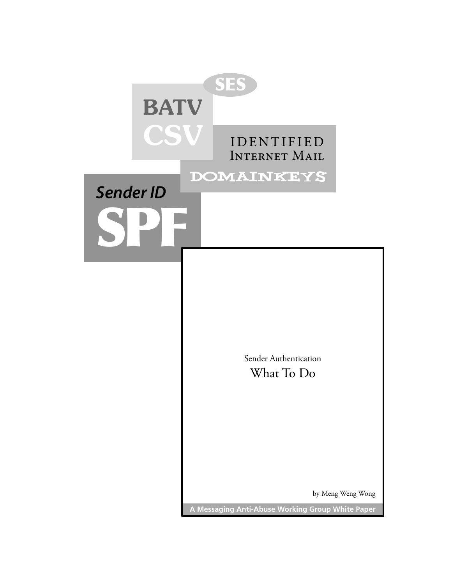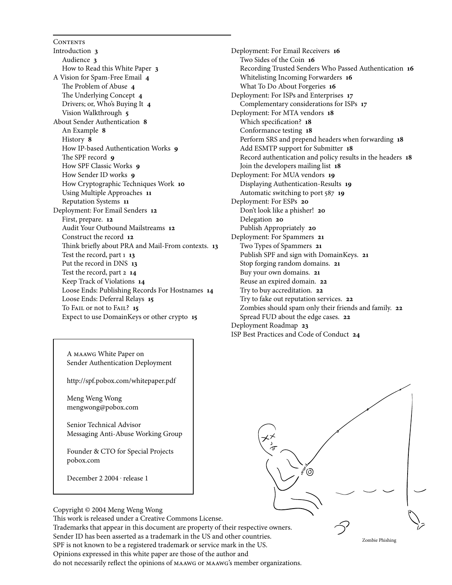**CONTENTS** [Introduction](#page-2-0) **3** [Audience](#page-2-0) **3** [How to Read this White Paper](#page-2-0) **3** [A Vision for Spam-Free Email](#page-3-0) **4** [The Problem of Abuse](#page-3-0) **4** [The Underlying Concept](#page-3-0) **4** [Drivers; or, Who's Buying It](#page-3-0) **4** [Vision Walkthrough](#page-4-0) **5** [About Sender Authentication](#page-7-0) **8** [An Example](#page-7-0) **8** [History](#page-7-0) **8** [How IP-based Authentication Works](#page-8-0) **9** [The SPF record](#page-8-0) **9** [How SPF Classic Works](#page-8-0) **9** [How Sender ID works](#page-8-0) **9** [How Cryptographic Techniques Work](#page-9-0) **10** [Using Multiple Approaches](#page-10-0) 11 [Reputation Systems](#page-10-0) [Deployment: For Email Senders](#page-11-0) 12 [First, prepare.](#page-11-0) 12 [Audit Your Outbound Mailstreams](#page-11-0) **2** [Construct the record](#page-11-0) 12 [Think briefly about PRA and Mail-From contexts.](#page-12-0) **3** [Test the record, part](#page-12-0) 1 13 [Put the record in DNS](#page-12-0) 13 [Test the record, part 2](#page-13-0) **4** [Keep Track of Violations](#page-13-0) **4** [Loose Ends: Publishing Records For Hostnames](#page-13-0) **4** [Loose Ends: Deferral Relays](#page-14-0) 15 [To Fail or not to Fail?](#page-14-0) **5** [Expect to use DomainKeys or other crypto](#page-14-0) **5**

[Deployment: For Email Receivers](#page-15-0) 16 [Two Sides of the Coin](#page-15-0) 16 [Recording Trusted Senders Who Passed Authentication](#page-15-0) **6** [Whitelisting Incoming Forwarders](#page-15-0) **6** [What To Do About Forgeries](#page-15-0) 16 [Deployment: For ISPs and Enterprises](#page-16-0) 17 [Complementary considerations for ISPs](#page-16-0) **7** [Deployment: For MTA vendors](#page-17-0) 18 [Which specification?](#page-17-0) 18 [Conformance testing](#page-17-0) **8** [Perform SRS and prepend headers when forwarding](#page-17-0) 18 [Add ESMTP support for Submitter](#page-17-0) 18 [Record authentication and policy results in the headers](#page-17-0) **8** [Join the developers mailing list](#page-17-0) 18 [Deployment: For MUA vendors](#page-18-0) 19 [Displaying Authentication-Results](#page-18-0) **9** [Automatic switching to port 587](#page-18-0) **19** [Deployment: For ESPs](#page-19-0) **20** [Don't look like a phisher!](#page-19-0) **20** [Delegation](#page-19-0) **20** [Publish Appropriately](#page-19-0) **20** [Deployment: For Spammers](#page-20-0) **2** [Two Types of Spammers](#page-20-0) **2** [Publish SPF and sign with DomainKeys.](#page-20-0) **2** [Stop forging random domains.](#page-20-0) **2** [Buy your own domains.](#page-20-0) **2** [Reuse an expired domain.](#page-21-0) **22** [Try to buy accreditation.](#page-21-0) **22** [Try to fake out reputation services.](#page-21-0) **22** [Zombies should spam only their friends and family.](#page-21-0) **22** [Spread FUD about the edge cases.](#page-21-0) **22** [Deployment Roadmap](#page-22-0) **23** [ISP Best Practices and Code of Conduct](#page-23-0) **24**

A maawg White Paper on Sender Authentication Deployment

http://spf.pobox.com/whitepaper.pdf

Meng Weng Wong mengwong@pobox.com

Senior Technical Advisor Messaging Anti-Abuse Working Group

Founder & CTO for Special Projects pobox.com

December 2 2004 · release 1



Zombie Phishing

Copyright © 2004 Meng Weng Wong

This work is released under a Creative Commons License. Trademarks that appear in this document are property of their respective owners. Sender ID has been asserted as a trademark in the US and other countries. SPF is not known to be a registered trademark or service mark in the US. Opinions expressed in this white paper are those of the author and do not necessarily reflect the opinions of maawg or maawg's member organizations.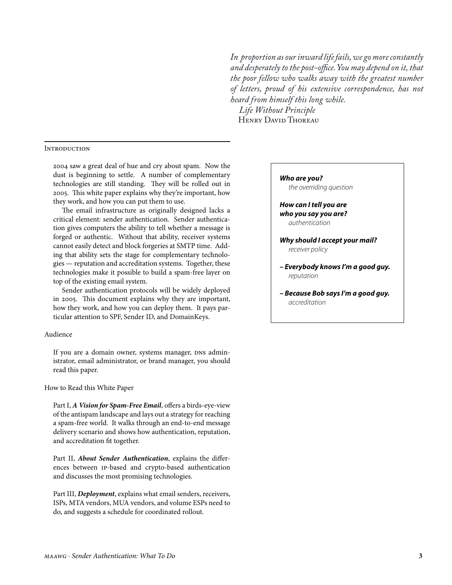In proportion as our inward life fails, we go more constantly and desperately to the post-office. You may depend on it, that the poor fellow who walks away with the greatest number of letters, proud of his extensive correspondence, has not heard from himself this long while. Life Without Principle

HENRY DAVID THOREAU

# <span id="page-2-0"></span>**INTRODUCTION**

2004 saw a great deal of hue and cry about spam. Now the dust is beginning to settle. A number of complementary technologies are still standing. They will be rolled out in 2005. This white paper explains why they're important, how they work, and how you can put them to use.

The email infrastructure as originally designed lacks a critical element: sender authentication. Sender authentication gives computers the ability to tell whether a message is forged or authentic. Without that ability, receiver systems cannot easily detect and block forgeries at SMTP time. Adding that ability sets the stage for complementary technologies — reputation and accreditation systems. Together, these technologies make it possible to build a spam-free layer on top of the existing email system.

Sender authentication protocols will be widely deployed in 2005. This document explains why they are important, how they work, and how you can deploy them. It pays particular attention to SPF, Sender ID, and DomainKeys.

#### Audience

If you are a domain owner, systems manager, DNS administrator, email administrator, or brand manager, you should read this paper.

How to Read this White Paper

Part I, A Vision for Spam-Free Email, offers a birds-eye-view of the antispam landscape and lays out a strategy for reaching a spam-free world. It walks through an end-to-end message delivery scenario and shows how authentication, reputation, and accreditation fit together.

Part II, About Sender Authentication, explains the differences between IP-based and crypto-based authentication and discusses the most promising technologies.

Part III, Deployment, explains what email senders, receivers, ISPs, MTA vendors, MUA vendors, and volume ESPs need to do, and suggests a schedule for coordinated rollout.

# Who are you? the overriding question How can I tell you are who you say you are? authentication Why should I accept your mail? receiver policy - Everybody knows I'm a good guy. reputation

- Because Bob says I'm a good guy. accreditation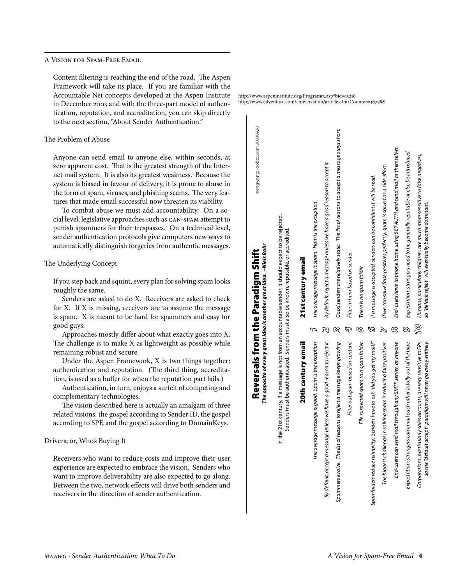<span id="page-3-0"></span>A VISION FOR SPAM-FREE EMAIL

Content filtering is reaching the end of the road. The Aspen Framework will take its place. If you are familiar with the Accountable Net concepts developed at the Aspen Institute in December 2003 and with the three-part model of authentication, reputation, and accreditation, you can skip directly to the next section, "About Sender Authentication."

# The Problem of Abuse

Anyone can send email to anyone else, within seconds, at zero apparent cost. That is the greatest strength of the Internet mail system. It is also its greatest weakness. Because the system is biased in favour of delivery, it is prone to abuse in the form of spam, viruses, and phishing scams. The very features that made email successful now threaten its viability.

To combat abuse we must add accountability. On a social level, legislative approaches such as CAN-SPAM attempt to punish spammers for their trespasses. On a technical level, sender authentication protocols give computers new ways to automatically distinguish forgeries from authentic messages.

The Underlying Concept

If you step back and squint, every plan for solving spam looks roughly the same.

Senders are asked to do X. Receivers are asked to check for X. If X is missing, receivers are to assume the message is spam. X is meant to be hard for spammers and easy for good guys.

Approaches mostly differ about what exactly goes into X. The challenge is to make X as lightweight as possible while remaining robust and secure.

Under the Aspen Framework, X is two things together: authentication and reputation. (The third thing, accreditation, is used as a buffer for when the reputation part fails.)

Authentication, in turn, enjoys a surfeit of competing and complementary technologies.

The vision described here is actually an amalgam of three related visions: the gospel according to Sender ID, the gospel according to SPF, and the gospel according to DomainKeys.

# Drivers; or, Who's Buying It

Receivers who want to reduce costs and improve their user experience are expected to embrace the vision. Senders who want to improve deliverability are also expected to go along. Between the two, network effects will drive both senders and receivers in the direction of sender authentication.

http://www.aspeninstitute.org/Programt3.asp?bid=13218 http://www.edventure.com/conversation/article.cfm?Counter=367986

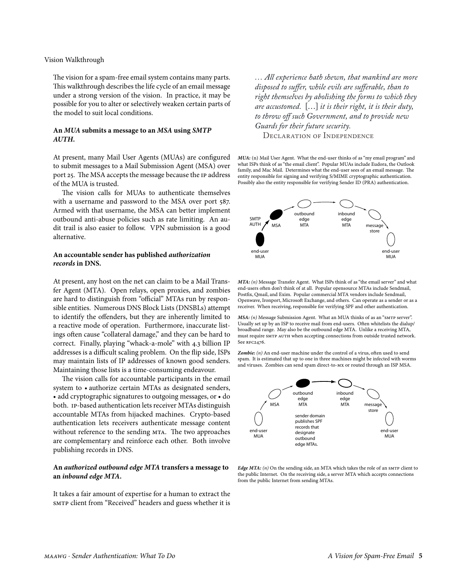# <span id="page-4-0"></span>Vision Walkthrough

The vision for a spam-free email system contains many parts. This walkthrough describes the life cycle of an email message under a strong version of the vision. In practice, it may be possible for you to alter or selectively weaken certain parts of the model to suit local conditions.

# An MUA submits a message to an MSA using SMTP AUTH.

At present, many Mail User Agents (MUAs) are configured to submit messages to a Mail Submission Agent (MSA) over port 25. The MSA accepts the message because the IP address of the MUA is trusted.

The vision calls for MUAs to authenticate themselves with a username and password to the MSA over port 587. Armed with that username, the MSA can better implement outbound anti-abuse policies such as rate limiting. An audit trail is also easier to follow. VPN submission is a good alternative.

# An accountable sender has published authorization records in DNS.

At present, any host on the net can claim to be a Mail Transfer Agent (MTA). Open relays, open proxies, and zombies are hard to distinguish from "official" MTAs run by responsible entities. Numerous DNS Block Lists (DNSBLs) attempt to identify the offenders, but they are inherently limited to a reactive mode of operation. Furthermore, inaccurate listings often cause "collateral damage," and they can be hard to correct. Finally, playing "whack-a-mole" with 4.3 billion IP addresses is a difficult scaling problem. On the flip side, ISPs may maintain lists of IP addresses of known good senders. Maintaining those lists is a time-consuming endeavour.

The vision calls for accountable participants in the email system to • authorize certain MTAs as designated senders, • add cryptographic signatures to outgoing messages, or • do both. IP-based authentication lets receiver MTAs distinguish accountable MTAs from hijacked machines. Crypto-based authentication lets receivers authenticate message content without reference to the sending MTA. The two approaches are complementary and reinforce each other. Both involve publishing records in DNS.

# An authorized outbound edge MTA transfers a message to an inbound edge MTA.

It takes a fair amount of expertise for a human to extract the SMTP client from "Received" headers and guess whether it is

... All experience hath shewn, that mankind are more disposed to suffer, while evils are sufferable, than to right themselves by abolishing the forms to which they are accustomed.  $[\ldots]$  it is their right, it is their duty, to throw off such Government, and to provide new Guards for their future security.

**DECLARATION OF INDEPENDENCE** 

MUA: (n) Mail User Agent. What the end-user thinks of as "my email program" and what ISPs think of as "the email client". Popular MUAs include Eudora, the Outlook family, and Mac Mail. Determines what the end-user sees of an email message. The entity responsible for signing and verifying S/MIME cryptographic authentication. Possibly also the entity responsible for verifying Sender ID (PRA) authentication.



MTA: (n) Message Transfer Agent. What ISPs think of as "the email server" and what end-users often don't think of at all. Popular opensource MTAs include Sendmail, Postfix, Qmail, and Exim. Popular commercial MTA vendors include Sendmail, Openwave, Ironport, Microsoft Exchange, and others. Can operate as a sender or as a receiver. When receiving, responsible for verifying SPF and other authentication.

MSA: (n) Message Submission Agent. What an MUA thinks of as an "SMTP server". Usually set up by an ISP to receive mail from end-users. Often whitelists the dialup/ broadband range. May also be the outbound edge MTA. Unlike a receiving MTA, must require SMTP AUTH when accepting connections from outside trusted network. See RFC2476.

Zombie:  $(n)$  An end-user machine under the control of a virus, often used to send spam. It is estimated that up to one in three machines might be infected with worms and viruses. Zombies can send spam direct-to-MX or routed through an ISP MSA.



Edge MTA:  $(n)$  On the sending side, an MTA which takes the role of an SMTP client to the public Internet. On the receiving side, a server MTA which accepts connections from the public Internet from sending MTAs.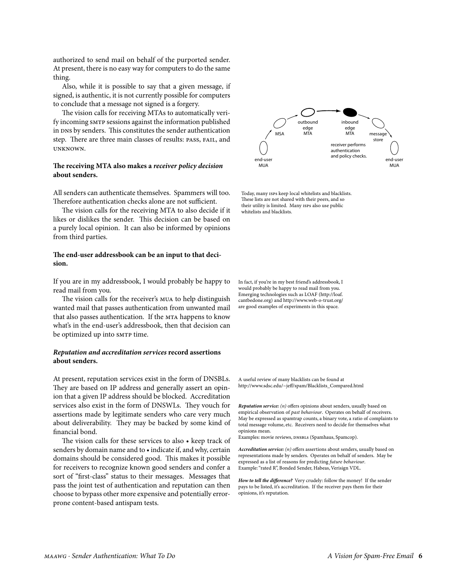authorized to send mail on behalf of the purported sender. At present, there is no easy way for computers to do the same thing.

Also, while it is possible to say that a given message, if signed, is authentic, it is not currently possible for computers to conclude that a message not signed is a forgery.

The vision calls for receiving MTAs to automatically verify incoming smTP sessions against the information published in DNS by senders. This constitutes the sender authentication step. There are three main classes of results: pass, fail, and unknown.

# **The receiving MTA also makes a** *receiver policy decision* **about senders.**

All senders can authenticate themselves. Spammers will too. Therefore authentication checks alone are not sufficient.

The vision calls for the receiving MTA to also decide if it likes or dislikes the sender. This decision can be based on a purely local opinion. It can also be informed by opinions from third parties.

# **The end-user addressbook can be an input to that decision.**

If you are in my addressbook, I would probably be happy to read mail from you.

The vision calls for the receiver's mua to help distinguish wanted mail that passes authentication from unwanted mail that also passes authentication. If the MTA happens to know what's in the end-user's addressbook, then that decision can be optimized up into smrp time.

# *Reputation and accreditation services* **record assertions about senders.**

At present, reputation services exist in the form of DNSBLs. They are based on IP address and generally assert an opinion that a given IP address should be blocked. Accreditation services also exist in the form of DNSWLs. They vouch for assertions made by legitimate senders who care very much about deliverability. They may be backed by some kind of financial bond.

The vision calls for these services to also • keep track of senders by domain name and to • indicate if, and why, certain domains should be considered good. This makes it possible for receivers to recognize known good senders and confer a sort of "first-class" status to their messages. Messages that pass the joint test of authentication and reputation can then choose to bypass other more expensive and potentially errorprone content-based antispam tests.



Today, many ISPs keep local whitelists and blacklists. These lists are not shared with their peers, and so their utility is limited. Many ISPs also use public whitelists and blacklists.

In fact, if you're in my best friend's addressbook, I would probably be happy to read mail from you. Emerging technologies such as [LOAF \(http://loaf.](http://loaf.cantbedone.org/) [cantbedone.org\)](http://loaf.cantbedone.org/) and <http://www.web-o-trust.org/> are good examples of experiments in this space.

[A useful review of many blacklists can be found at](http://www.sdsc.edu/~jeff/spam/Blacklists_Compared.html) [http://www.sdsc.edu/~jeff/spam/Blacklists\\_Compared.html](http://www.sdsc.edu/~jeff/spam/Blacklists_Compared.html)

*Reputation service: (n)* offers opinions about senders, usually based on empirical observation of *past behaviour*. Operates on behalf of receivers. May be expressed as spamtrap counts, a binary vote, a ratio of complaints to total message volume, etc. Receivers need to decide for themselves what opinions mean.

Examples: movie reviews, DNSBLs (Spamhaus, Spamcop).

*Accreditation service: (n)* offers assertions about senders, usually based on representations made by senders. Operates on behalf of senders. May be expressed as a list of reasons for predicting *future behaviour*. Example: "rated R", Bonded Sender, Habeas, Verisign VDL.

*How to tell the difference?* Very crudely: follow the money! If the sender pays to be listed, it's accreditation. If the receiver pays them for their opinions, it's reputation.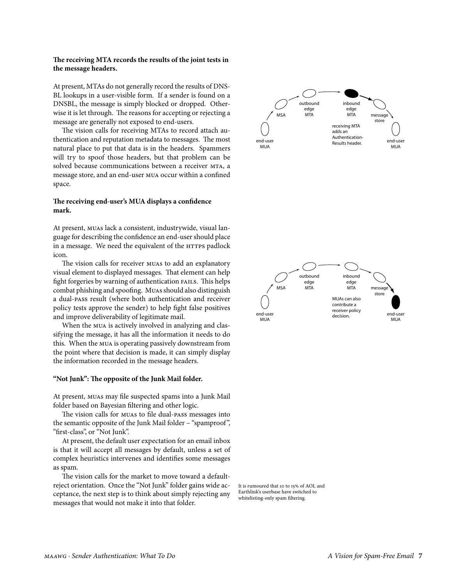# The receiving MTA records the results of the joint tests in the message headers.

At present, MTAs do not generally record the results of DNS-BL lookups in a user-visible form. If a sender is found on a DNSBL, the message is simply blocked or dropped. Otherwise it is let through. The reasons for accepting or rejecting a message are generally not exposed to end-users.

The vision calls for receiving MTAs to record attach authentication and reputation metadata to messages. The most natural place to put that data is in the headers. Spammers will try to spoof those headers, but that problem can be solved because communications between a receiver MTA, a message store, and an end-user MUA occur within a confined space.

# The receiving end-user's MUA displays a confidence mark.

At present, MUAs lack a consistent, industrywide, visual language for describing the confidence an end-user should place in a message. We need the equivalent of the HTTPS padlock icon.

The vision calls for receiver MUAS to add an explanatory visual element to displayed messages. That element can help fight forgeries by warning of authentication FAILS. This helps combat phishing and spoofing. Muas should also distinguish a dual-pass result (where both authentication and receiver policy tests approve the sender) to help fight false positives and improve deliverability of legitimate mail.

When the MUA is actively involved in analyzing and classifying the message, it has all the information it needs to do this. When the MUA is operating passively downstream from the point where that decision is made, it can simply display the information recorded in the message headers.

#### "Not Junk": The opposite of the Junk Mail folder.

At present, MUAS may file suspected spams into a Junk Mail folder based on Bayesian filtering and other logic.

The vision calls for MUAS to file dual-PASS messages into the semantic opposite of the Junk Mail folder - "spamproof", "first-class", or "Not Junk".

At present, the default user expectation for an email inbox is that it will accept all messages by default, unless a set of complex heuristics intervenes and identifies some messages as spam.

The vision calls for the market to move toward a defaultreject orientation. Once the "Not Junk" folder gains wide acceptance, the next step is to think about simply rejecting any messages that would not make it into that folder.





It is rumoured that 10 to 15% of AOL and Earthlink's userbase have switched to whitelisting-only spam filtering.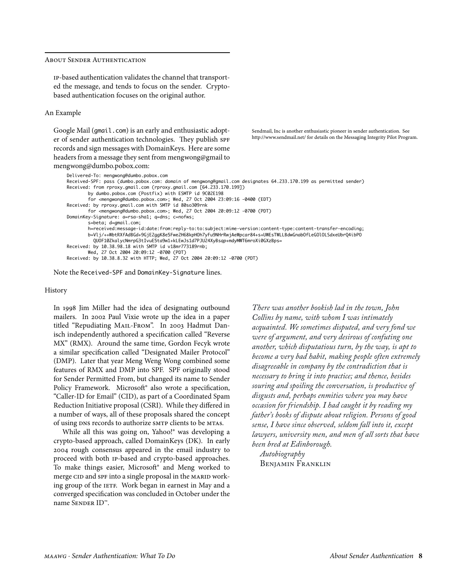## <span id="page-7-0"></span>About Sender Authentication

ip-based authentication validates the channel that transported the message, and tends to focus on the sender. Cryptobased authentication focuses on the original author.

#### An Example

Google Mail (gmail.com) is an early and enthusiastic adopter of sender authentication technologies. They publish SPF records and sign messages with DomainKeys. Here are some headers from a message they sent from mengwong@gmail to mengwong@dumbo.pobox.com:

[Sendmail, Inc is another enthusiastic pioneer in sender authentication. See](http://www.sendmail.net/)  [http://www.sendmail.net/ for details on the Messaging Integrity Pilot Program.](http://www.sendmail.net/)

| Delivered-To: mengwong@dumbo.pobox.com                                                                           |
|------------------------------------------------------------------------------------------------------------------|
| Received-SPF: pass (dumbo.pobox.com: domain of mengwong@gmail.com designates 64.233.170.199 as permitted sender) |
| Received: from rproxy.qmail.com (rproxy.qmail.com [64.233.170.199])                                              |
| by dumbo.pobox.com (Postfix) with ESMTP id 9C02E198                                                              |
| for <mengwong@dumbo.pobox.com>; Wed, 27 Oct 2004 23:09:16 <math>-0400</math> (EDT)</mengwong@dumbo.pobox.com>    |
| Received: by rproxy.gmail.com with SMTP id 80so309rnk                                                            |
| for <mengwong@dumbo.pobox.com>; Wed, 27 Oct 2004 20:09:12 -0700 (PDT)</mengwong@dumbo.pobox.com>                 |
| DomainKey-Signature: a=rsa-sha1; q=dns; c=nofws;                                                                 |
| s=beta; d=gmail.com;                                                                                             |
| h=received:message-id:date:from:reply-to:to:subject:mime-version:content-type:content-transfer-encoding;         |
| b=Vlj/++WbtRXfAdBGd+9GjE2qqK8e5Fwe2H68kpH0h7yFu9NHrRwjAeWpcar84+s+UWEsTWLLBdwGnab0fLeG010LSdxeUbr04ibP0          |
| 0U0F10ZkalycNmrpG3tIvuE5ta9w1+kLEwJs1d7PJU24XyBsqp+mdyMWT6mroXi0GXzBps=                                          |
| Received: by 10.38.98.18 with SMTP id v18mr773189rnb;                                                            |
| Wed, 27 Oct 2004 20:09:12 -0700 (PDT)                                                                            |
| Received: by 10.38.8.32 with HTTP; Wed, 27 Oct 2004 20:09:12 -0700 (PDT)                                         |
|                                                                                                                  |

Note the Received-SPF and DomainKey-Signature lines.

#### History

In 998 Jim Miller had the idea of designating outbound mailers. In 2002 Paul Vixie wrote up the idea in a paper titled "Repudiating Mail-From". In 2003 Hadmut Danisch independently authored a specification called "Reverse MX" (RMX). Around the same time, Gordon Fecyk wrote a similar specification called "Designated Mailer Protocol" (DMP). Later that year Meng Weng Wong combined some features of RMX and DMP into SPF. SPF originally stood for Sender Permitted From, but changed its name to Sender Policy Framework. Microsoft<sup>®</sup> also wrote a specification, "Caller-ID for Email" (CID), as part of a Coordinated Spam Reduction Initiative proposal (CSRI). While they differed in a number of ways, all of these proposals shared the concept of using DNS records to authorize SMTP clients to be MTAS.

While all this was going on, Yahoo!® was developing a crypto-based approach, called DomainKeys (DK). In early 2004 rough consensus appeared in the email industry to proceed with both ip-based and crypto-based approaches. To make things easier, Microsoft® and Meng worked to merge CID and SPF into a single proposal in the MARID working group of the IETF. Work began in earnest in May and a converged specification was concluded in October under the name Sender ID™.

*There was another bookish lad in the town, John Collins by name, with whom I was intimately acquainted. We sometimes disputed, and very fond we were of argument, and very desirous of confuting one another, which disputatious turn, by the way, is apt to become a very bad habit, making people often extremely disagreeable in company by the contradiction that is necessary to bring it into practice; and thence, besides souring and spoiling the conversation, is productive of disgusts and, perhaps enmities where you may have occasion for friendship. I had caught it by reading my father's books of dispute about religion. Persons of good sense, I have since observed, seldom fall into it, except lawyers, university men, and men of all sorts that have been bred at Edinborough.*

 *Autobiography* BENJAMIN FRANKLIN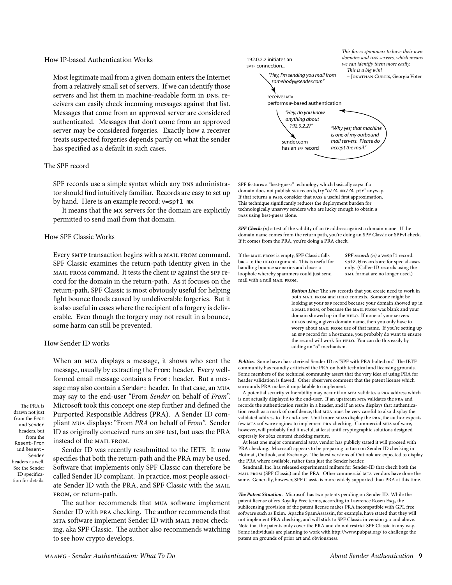<span id="page-8-0"></span>Most legitimate mail from a given domain enters the Internet from a relatively small set of servers. If we can identify those servers and list them in machine-readable form in DNS, receivers can easily check incoming messages against that list. Messages that come from an approved server are considered authenticated. Messages that don't come from an approved server may be considered forgeries. Exactly how a receiver treats suspected forgeries depends partly on what the sender has specified as a default in such cases.

# The SPF record

SPF records use a simple syntax which any DNS administrator should find intuitively familiar. Records are easy to set up by hand. Here is an example record: v=spf1 mx

It means that the MX servers for the domain are explicitly permitted to send mail from that domain.

# **How SPF Classic Works**

Every SMTP transaction begins with a MAIL FROM command. SPF Classic examines the return-path identity given in the MAIL FROM command. It tests the client IP against the SPF record for the domain in the return-path. As it focuses on the return-path, SPF Classic is most obviously useful for helping fight bounce floods caused by undeliverable forgeries. But it is also useful in cases where the recipient of a forgery is deliverable. Even though the forgery may not result in a bounce, some harm can still be prevented.

#### How Sender ID works

When an MUA displays a message, it shows who sent the message, usually by extracting the From: header. Every wellformed email message contains a From: header. But a message may also contain a Sender: header. In that case, an MUA may say to the end-user "From Sender on behalf of From". Microsoft took this concept one step further and defined the Purported Responsible Address (PRA). A Sender ID compliant MUA displays: "From PRA on behalf of From". Sender ID as originally conceived runs an SPF test, but uses the PRA instead of the MAIL FROM.

Sender ID was recently resubmitted to the IETF. It now specifies that both the return-path and the PRA may be used. Software that implements only SPF Classic can therefore be called Sender ID compliant. In practice, most people associate Sender ID with the PRA, and SPF Classic with the MAIL FROM, or return-path.

The author recommends that MUA software implement Sender ID with PRA checking. The author recommends that MTA software implement Sender ID with MAIL FROM checking, aka SPF Classic. The author also recommends watching to see how crypto develops.



SPF features a "best-guess" technology which basically says: if a domain does not publish SPF records, try "a/24 mx/24 ptr" anyway. If that returns a PASS, consider that PASS a useful first approximation. This technique significantly reduces the deployment burden for technologically unsavvy senders who are lucky enough to obtain a PASS using best-guess alone.

SPF Check:  $(n)$  a test of the validity of an IP address against a domain name. If the domain name comes from the return path, you're doing an SPF Classic or SPFv1 check. If it comes from the PRA, you're doing a PRA check.

If the MAIL FROM is empty, SPF Classic falls back to the HELO argument. This is useful for handling bounce scenarios and closes a loophole whereby spammers could just send mail with a null MAIL FROM.

SPF record:  $(n)$  a v=spf1 record. spf2.0 records are for special cases only. (Caller-ID records using the XML format are no longer used.)

Bottom Line: The SPF records that you create need to work in both MAIL FROM and HELO contexts. Someone might be looking at your SPF record because your domain showed up in a MAIL FROM, or because the MAIL FROM was blank and your domain showed up in the HELO. If none of your servers HELOS using a given domain name, then you only have to worry about MAIL FROM use of that name. If you're setting up an SPF record for a hostname, you probably do want to ensure the record will work for HELO. You can do this easily by adding an "a" mechanism.

Politics. Some have characterized Sender ID as "SPF with PRA bolted on." The IETF community has roundly criticized the PRA on both technical and licensing grounds. Some members of the technical community assert that the very idea of using PRA for header validation is flawed. Other observers comment that the patent license which surrounds PRA makes it unpalatable to implement.

A potential security vulnerability may occur if an MTA validates a PRA address which is not actually displayed to the end-user. If an upstream MTA validates the PRA and records the authentication results in a header, and if an MUA displays that authentication result as a mark of confidence, that MUA must be very careful to also display the validated address to the end-user. Until more MUAS display the PRA, the author expects few MTA software engines to implement PRA checking. Commercial MUA software, however, will probably find it useful, at least until cryptographic solutions designed expressly for 2822 content checking mature.

At least one major commercial MUA vendor has publicly stated it will proceed with PRA checking. Microsoft appears to be preparing to turn on Sender ID checking in Hotmail, Outlook, and Exchange. The latest versions of Outlook are expected to display the PRA where available, rather than just the Sender header.

Sendmail, Inc. has released experimental milters for Sender-ID that check both the MAIL FROM (SPF Classic) and the PRA. Other commercial MTA vendors have done the same. Generally, however, SPF Classic is more widely supported than PRA at this time.

The Patent Situation. Microsoft has two patents pending on Sender ID. While the patent license offers Royalty Free terms, according to Lawrence Rosen Esq., the sublicensing provision of the patent license makes PRA incompatible with GPL free software such as Exim. Apache SpamAssassin, for example, have stated that they will not implement PRA checking, and will stick to SPF Classic in version 3.0 and above. Note that the patents only cover the PRA and do not restrict SPF Classic in any way. Some individuals are planning to work with http://www.pubpat.org/ to challenge the patent on grounds of prior art and obviousness.

The PRA is drawn not just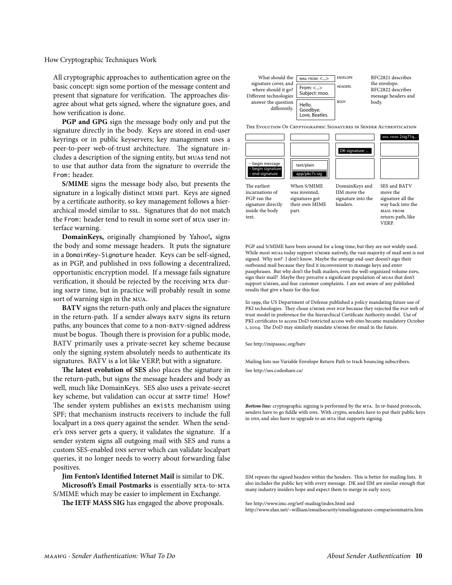## <span id="page-9-0"></span>How Cryptographic Techniques Work

All cryptographic approaches to authentication agree on the basic concept: sign some portion of the message content and present that signature for verification. The approaches disagree about what gets signed, where the signature goes, and how verification is done.

PGP and GPG sign the message body only and put the signature directly in the body. Keys are stored in end-user keyrings or in public keyservers; key management uses a peer-to-peer web-of-trust architecture. The signature includes a description of the signing entity, but MUAS tend not to use that author data from the signature to override the From: header.

S/MIME signs the message body also, but presents the signature in a logically distinct MIME part. Keys are signed by a certificate authority, so key management follows a hierarchical model similar to ssl. Signatures that do not match the From: header tend to result in some sort of MUA user interface warning.

DomainKeys, originally championed by Yahoo!, signs the body and some message headers. It puts the signature in a DomainKey-Signature header. Keys can be self-signed, as in PGP, and published in DNS following a decentralized, opportunistic encryption model. If a message fails signature verification, it should be rejected by the receiving MTA during sm<sup>TP</sup> time, but in practice will probably result in some sort of warning sign in the MUA.

BATV signs the return-path only and places the signature in the return-path. If a sender always BATV signs its return paths, any bounces that come to a non-BATV-signed address must be bogus. Though there is provision for a public mode, BATV primarily uses a private-secret key scheme because only the signing system absolutely needs to authenticate its signatures. BATV is a lot like VERP, but with a signature.

The latest evolution of SES also places the signature in the return-path, but signs the message headers and body as well, much like DomainKeys. SES also uses a private-secret key scheme, but validation can occur at SMTP time! How? The sender system publishes an exists mechanism using SPF; that mechanism instructs receivers to include the full localpart in a DNS query against the sender. When the sender's DNS server gets a query, it validates the signature. If a sender system signs all outgoing mail with SES and runs a custom SES-enabled DNS server which can validate localpart queries, it no longer needs to worry about forwarding false positives.

Jim Fenton's Identified Internet Mail is similar to DK. Microsoft's Email Postmarks is essentially MTA-to-MTA

S/MIME which may be easier to implement in Exchange.

The IETF MASS SIG has engaged the above proposals.



THE EVOLUTION OF CRYPTOGRAPHIC SIGNATURES IN SENDER AUTHENTICATION



IIM move the

headers.

The earliest incarnations of PGP ran the signature directly inside the body text.

When S/MIME was invented. signatures got their own MIME part.

SES and BATV move the signature all the signature into the way back into the MAIL FROM return-path, like **VERP** 

PGP and S/MIME have been around for a long time, but they are not widely used. While most MUAS today support S/MIME natively, the vast majority of mail sent is not signed. Why not? I don't know. Maybe the average end-user doesn't sign their outbound mail because they find it inconvenient to manage keys and enter passphrases. But why don't the bulk mailers, even the well-organized volume ESPS, sign their mail? Maybe they perceive a significant population of MUAs that don't support s/MIME, and fear customer complaints. I am not aware of any published results that give a basis for this fear.

In 1999, the US Department of Defense published a policy mandating future use of PKI technologies. They chose s/MIME over PGP because they rejected the PGP web of trust model in preference for the hierarchical Certificate Authority model. Use of PKI certificates to access DoD restricted access web sites became mandatory October 1, 2004. The DoD may similarly mandate s/MIME for email in the future.

See http://mipassoc.org/baty

Mailing lists use Variable Envelope Return Path to track bouncing subscribers.

See http://ses.codeshare.ca/

Bottom line: cryptographic signing is performed by the MTA. In IP-based protocols, senders have to go fiddle with DNS. With crypto, senders have to put their public keys in DNS, and also have to upgrade to an MTA that supports signing.

IIM repeats the signed headers within the headers. This is better for mailing lists. It also includes the public key with every message. DK and IIM are similar enough that many industry insiders hope and expect them to merge in early 2005.

See http://www.imc.org/ietf-mailsig/index.html and

http://www.elan.net/~william/emailsecurity/emailsignatures-comparisonmatrix.htm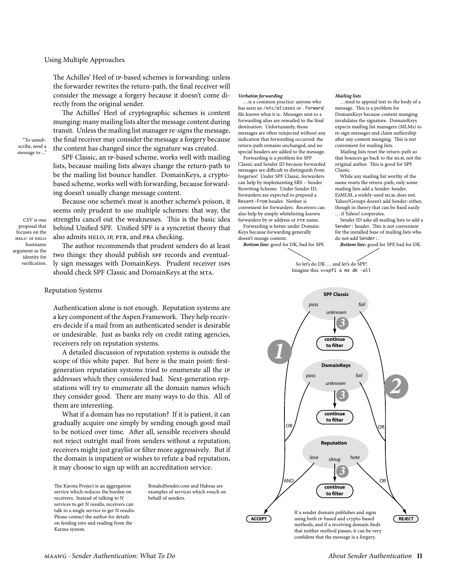<span id="page-10-0"></span>The Achilles' Heel of ip-based schemes is forwarding: unless the forwarder rewrites the return-path, the final receiver will consider the message a forgery because it doesn't come directly from the original sender.

The Achilles' Heel of cryptographic schemes is content munging: many mailing lists alter the message content during transit. Unless the mailing list manager re-signs the message, the final receiver may consider the message a forgery because the content has changed since the signature was created.

SPF Classic, an ip-based scheme, works well with mailing lists, because mailing lists always change the return-path to be the mailing list bounce handler. DomainKeys, a cryptobased scheme, works well with forwarding, because forwarding doesn't usually change message content.

CSV is one proposal that focuses on the HELO or EHLO hostname argument as the identity for verification.

"To unsubscribe, send a message to ..."

> Because one scheme's meat is another scheme's poison, it seems only prudent to use multiple schemes: that way, the strengths cancel out the weaknesses. This is the basic idea behind Unified SPF. Unified SPF is a syncretist theory that also admits HELO, IP, PTR, and PRA checking.

The author recommends that prudent senders do at least two things: they should publish SPF records and eventually sign messages with DomainKeys. Prudent receiver isps should check SPF Classic and DomainKeys at the MTA.

#### Reputation Systems

Authentication alone is not enough. Reputation systems are a key component of the Aspen Framework. They help receivers decide if a mail from an authenticated sender is desirable or undesirable. Just as banks rely on credit rating agencies, receivers rely on reputation systems.

A detailed discussion of reputation systems is outside the scope of this white paper. But here is the main point: firstgeneration reputation systems tried to enumerate all the ip addresses which they considered bad. Next-generation reputations will try to enumerate all the domain names which they consider good. There are many ways to do this. All of them are interesting.

What if a domain has no reputation? If it is patient, it can gradually acquire one simply by sending enough good mail to be noticed over time. After all, sensible receivers should not reject outright mail from senders without a reputation; receivers might just graylist or filter more aggressively. But if the domain is impatient or wishes to refute a bad reputation, it may choose to sign up with an accreditation service.

The Karma Project is an aggregation service which reduces the burden on receivers. Instead of talking to N services to get N results, receivers can talk to a single service to get N results. Please contact the author for details on feeding into and reading from the Karma system.

BondedSender.com and Habeas are examples of services which vouch on behalf of senders.

# *Verbatim forwarding*

 …is a common practice: anyone who has seen an /etc/aliases or .forward file knows what it is. Messages sent to a forwarding alias are remailed to the final destination. Unfortunately, those messages are often reinjected without any indication that forwarding occurred: the return-path remains unchanged, and no special headers are added to the message.

 Forwarding is a problem for SPF Classic and Sender ID because forwarded messages are difficult to distinguish from forgeries! Under SPF Classic, forwarders can help by implementing SRS – Sender Rewriting Scheme. Under Sender ID, forwarders are expected to prepend a Resent-From header. Neither is convenient for forwarders. Receivers can also help by simply whitelisting known forwarders by IP address or PTR name.

 Forwarding is better under Domain-Keys because forwarding generally doesn't munge content.

*Bottom line:* good for DK, bad for SPF.

#### *Mailing lists*

 …tend to append text to the body of a message. This is a problem for DomainKeys because content munging invalidates the signature. DomainKeys expects mailing list managers (MLMs) to re-sign messages and claim authorship after any content munging. This is not

convenient for mailing lists. Mailing lists reset the return-path so that bounces go back to the MLM, not the original author. This is good for SPF Classic.

 While any mailing list worthy of the name resets the return-path, only some mailing lists add a Sender: header. EzMLM, a widely-used MLM, does not. Yahoo!Groups doesn't add Sender: either, though in theory that can be fixed easily … if Yahoo! cooperates.

 Sender ID asks all mailing lists to add a Sender: header. This is not convenient for the installed base of mailing lists who do not add Sender:.

*Bottom line:* good for SPF, bad for DK.

So let's do DK … and let's do SPF! Imagine this: v=spf1 a mx dk -all

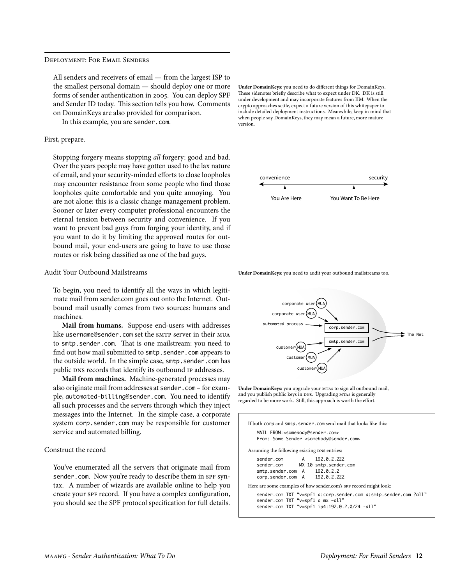#### <span id="page-11-0"></span>Deployment: For Email Senders

All senders and receivers of email — from the largest ISP to the smallest personal domain — should deploy one or more forms of sender authentication in 2005. You can deploy SPF and Sender ID today. This section tells you how. Comments on DomainKeys are also provided for comparison.

In this example, you are sender.com.

#### First, prepare.

Stopping forgery means stopping *all* forgery: good and bad. Over the years people may have gotten used to the lax nature of email, and your security-minded efforts to close loopholes may encounter resistance from some people who find those loopholes quite comfortable and you quite annoying. You are not alone: this is a classic change management problem. Sooner or later every computer professional encounters the eternal tension between security and convenience. If you want to prevent bad guys from forging your identity, and if you want to do it by limiting the approved routes for outbound mail, your end-users are going to have to use those routes or risk being classified as one of the bad guys.

## Audit Your Outbound Mailstreams

To begin, you need to identify all the ways in which legitimate mail from sender.com goes out onto the Internet. Outbound mail usually comes from two sources: humans and machines.

**Mail from humans.** Suppose end-users with addresses like username@sender.com set the smTP server in their MUA to smtp.sender.com. That is one mailstream: you need to find out how mail submitted to smtp.sender.com appears to the outside world. In the simple case, smtp.sender.com has public DNS records that identify its outbound IP addresses.

**Mail from machines.** Machine-generated processes may also originate mail from addresses at sender.com – for example, automated-billing@sender.com. You need to identify all such processes and the servers through which they inject messages into the Internet. In the simple case, a corporate system corp.sender.com may be responsible for customer service and automated billing.

#### Construct the record

You've enumerated all the servers that originate mail from sender.com. Now you're ready to describe them in spF syntax. A number of wizards are available online to help you create your spF record. If you have a complex configuration, you should see the SPF protocol specification for full details. **Under DomainKeys:** you need to do different things for DomainKeys. These sidenotes briefly describe what to expect under DK. DK is still under development and may incorporate features from IIM. When the crypto approaches settle, expect a future version of this whitepaper to include detailed deployment instructions. Meanwhile, keep in mind that when people say DomainKeys, they may mean a future, more mature version.



**Under DomainKeys:** you need to audit your outbound mailstreams too.



**Under DomainKeys:** you upgrade your MTAs to sign all outbound mail, and you publish public keys in DNS. Upgrading MTAs is generally regarded to be more work. Still, this approach is worth the effort.

| If both corp and smtp, sender, com send mail that looks like this:<br>MAIL FROM: <somebody@sender.com><br/>From: Some Sender <somebody@sender.com></somebody@sender.com></somebody@sender.com> |
|------------------------------------------------------------------------------------------------------------------------------------------------------------------------------------------------|
| Assuming the following existing DNS entries:                                                                                                                                                   |
| 192.0.2.222<br>sender.com A<br>sender.com MX 10 smtp.sender.com<br>smtp.sender.com A 192.0.2.2<br>corp.sender.com A 192.0.2.222                                                                |
| Here are some examples of how sender.com's SPF record might look:                                                                                                                              |
| sender.com TXT "v=spf1 a:corp.sender.com a:smtp.sender.com ?all"<br>sender.com TXT "v=spf1 a mx ~all"<br>sender.com TXT "v=spf1 ip4:192.0.2.0/24 -all"                                         |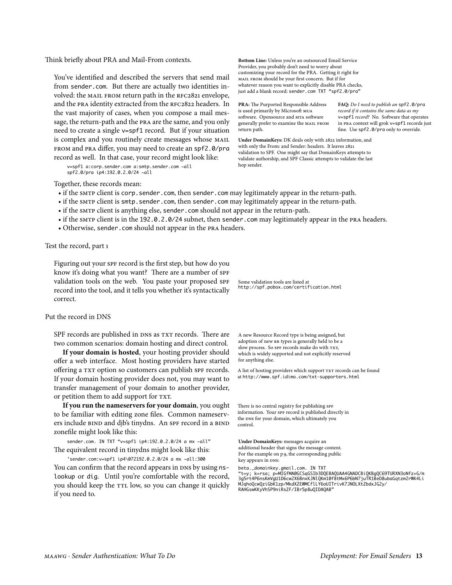<span id="page-12-0"></span>Think briefly about PRA and Mail-From contexts.

You've identified and described the servers that send mail from sender.com. But there are actually two identities involved: the MAIL FROM return path in the RFC2821 envelope, and the PRA identity extracted from the RFC2822 headers. In the vast majority of cases, when you compose a mail message, the return-path and the pra are the same, and you only need to create a single v=spf1 record. But if your situation is complex and you routinely create messages whose MAIL from and pra differ, you may need to create an spf2.0/pra record as well. In that case, your record might look like:

v=spf1 a:corp.sender.com a:smtp.sender.com ~all spf2.0/pra ip4:192.0.2.0/24 ~all

**Bottom Line:** Unless you're an outsourced Email Service Provider, you probably don't need to worry about customizing your record for the PRA. Getting it right for MAIL FROM should be your first concern. But if for whatever reason you want to explicitly disable PRA checks, just add a blank record: sender.com TXT "spf2.0/pra"

**PRA:** The Purported Responsible Address is used primarily by Microsoft MUA software. Opensource and MTA software generally prefer to examine the MAIL FROM return path.

**FAQ:** *Do I need to publish an* spf2.0/pra *record if it contains the same data as my*  v=spf1 *record?* No. Software that operates in PRA context will grok v=spf1 records just fine. Use spf2.0/pra only to override.

**Under DomainKeys:** DK deals only with 2822 information, and with only the From: and Sender: headers. It leaves 282 validation to SPF. One might say that DomainKeys attempts to validate authorship, and SPF Classic attempts to validate the last hop sender.

Together, these records mean:

- if the smrp client is corp. sender.com, then sender.com may legitimately appear in the return-path.
- if the smtp client is smtp.sender.com, then sender.com may legitimately appear in the return-path.
- if the smrp client is anything else, sender.com should not appear in the return-path.
- if the SMTP client is in the 192.0.2.0/24 subnet, then sender. com may legitimately appear in the PRA headers.
- Otherwise, sender.com should not appear in the pra headers.

## Test the record, part

Figuring out your spF record is the first step, but how do you know it's doing what you want? There are a number of SPF validation tools on the web. You paste your proposed SPF record into the tool, and it tells you whether it's syntactically correct.

# Put the record in DNS

SPF records are published in DNS as TXT records. There are two common scenarios: domain hosting and direct control.

**If your domain is hosted**, your hosting provider should offer a web interface. Most hosting providers have started offering a TXT option so customers can publish SPF records. If your domain hosting provider does not, you may want to transfer management of your domain to another provider, or petition them to add support for TXT.

**If you run the nameservers for your domain**, you ought to be familiar with editing zone files. Common nameservers include BIND and djb's tinydns. An SPF record in a BIND zonefile might look like this:

sender.com. IN TXT "v=spf1 ip4:192.0.2.0/24 a mx ~all" The equivalent record in tinydns might look like this:

'sender.com:v=spf1 ip4\072192.0.2.0/24 a mx ~all:300 You can confirm that the record appears in DNS by using nslookup or dig. Until you're comfortable with the record, you should keep the TTL low, so you can change it quickly if you need to.

Some validation tools are listed at <http://spf.pobox.com/certification.html>

A new Resource Record type is being assigned, but adoption of new RR types is generally held to be a slow process. So SPF records make do with TXT, which is widely supported and not explicitly reserved for anything else.

A list of hosting providers which support TXT records can be found at <http://www.spf.idimo.com/txt-supporters.html>

There is no central registry for publishing SPF information. Your SPF record is published directly in the DNS for your domain, which ultimately you control.

**Under DomainKeys:** messages acquire an additional header that signs the message content. For the example on p 9, the corresponding public key appears in DNS:

beta.\_domainkey.gmail.com. IN TXT

"t=y; k=rsa; p=MIGfMA0GCSqGSIb3DQEBAQUAA4GNADCBiQKBgQC69TURXN3oNfz+G/m 3g5rt4P6nsKmVgU1D6cw2X6BnxKJNlQKm10f8tMx6P6bN7juTR1BeD8ubaGqtzm2rWK4Li MJqhoQcwQziGbK1zp/MkdXZEWMCflLY6oUITrivK7JNOLXtZbdxJG2y/ RAHGswKKyVhSP9niRsZF/IBr5p8uQIDAQAB"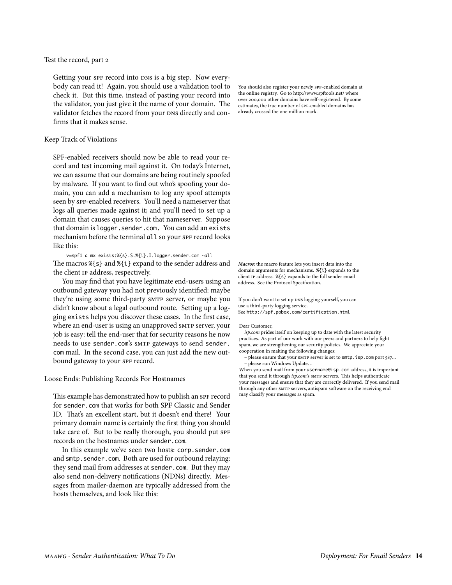# <span id="page-13-0"></span>Test the record, part 2

Getting your spF record into DNS is a big step. Now everybody can read it! Again, you should use a validation tool to check it. But this time, instead of pasting your record into the validator, you just give it the name of your domain. The validator fetches the record from your DNS directly and confirms that it makes sense.

#### Keep Track of Violations

SPF-enabled receivers should now be able to read your record and test incoming mail against it. On today's Internet, we can assume that our domains are being routinely spoofed by malware. If you want to find out who's spoofing your domain, you can add a mechanism to log any spoof attempts seen by spF-enabled receivers. You'll need a nameserver that logs all queries made against it; and you'll need to set up a domain that causes queries to hit that nameserver. Suppose that domain is logger.sender.com. You can add an exists mechanism before the terminal all so your SPF record looks like this:

v=spf1 a mx exists:%{s}.S.%{i}.I.logger.sender.com ~all The macros %{s} and %{i} expand to the sender address and the client ip address, respectively.

You may find that you have legitimate end-users using an outbound gateway you had not previously identified: maybe they're using some third-party smTP server, or maybe you didn't know about a legal outbound route. Setting up a logging exists helps you discover these cases. In the first case, where an end-user is using an unapproved smTP server, your job is easy: tell the end-user that for security reasons he now needs to use sender.com's smtp gateways to send sender. com mail. In the second case, you can just add the new outbound gateway to your SPF record.

Loose Ends: Publishing Records For Hostnames

This example has demonstrated how to publish an SPF record for sender.com that works for both SPF Classic and Sender ID. That's an excellent start, but it doesn't end there! Your primary domain name is certainly the first thing you should take care of. But to be really thorough, you should put SPF records on the hostnames under sender.com.

In this example we've seen two hosts: corp.sender.com and smtp.sender.com. Both are used for outbound relaying: they send mail from addresses at sender.com. But they may also send non-delivery notifications (NDNs) directly. Messages from mailer-daemon are typically addressed from the hosts themselves, and look like this:

You should also register your newly SPF-enabled domain at the online registry. Go to http://www.spftools.net/ where over 200,000 other domains have self-registered. By some estimates, the true number of SPF-enabled domains has already crossed the one million mark.

*Macros:* the macro feature lets you insert data into the domain arguments for mechanisms. %{i} expands to the client IP address. %{s} expands to the full sender email address. See the Protocol Specification.

If you don't want to set up DNS logging yourself, you can use a third-party logging service. See <http://spf.pobox.com/certification.html>

#### Dear Customer,

*isp.com* prides itself on keeping up to date with the latest security practices. As part of our work with our peers and partners to help fight spam, we are strengthening our security policies. We appreciate your cooperation in making the following changes:

 – please ensure that your SMTP server is set to smtp.isp.com port 587… – please run Windows Update…

When you send mail from your username@isp.com address, it is important that you send it through *isp.com*'s SMTP servers. This helps authenticate your messages and ensure that they are correctly delivered. If you send mail through any other SMTP servers, antispam software on the receiving end may classify your messages as spam.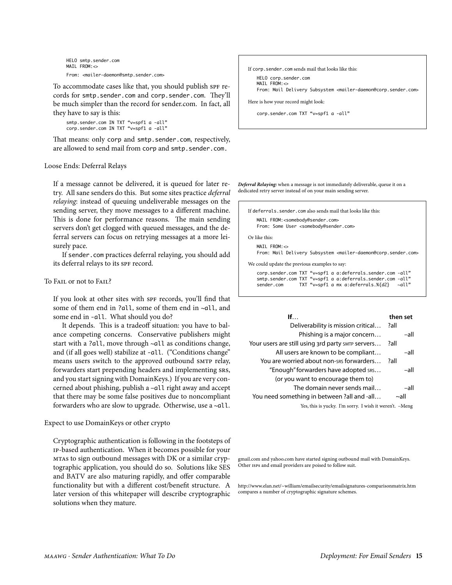```
HELO smtp.sender.com
MAIL FROM: <
From: <mailer-daemon@smtp.sender.com>
```
To accommodate cases like that, you should publish SPF records for smtp.sender.com and corp.sender.com. They'll be much simpler than the record for sender.com. In fact, all they have to say is this:

smtp.sender.com IN TXT "v=spf1 a -all" corp.sender.com IN TXT "v=spf1 a -all"

That means: only corp and smtp.sender.com, respectively, are allowed to send mail from corp and smtp.sender.com.

# Loose Ends: Deferral Relays

If a message cannot be delivered, it is queued for later retry. All sane senders do this. But some sites practice *deferral relaying*: instead of queuing undeliverable messages on the sending server, they move messages to a different machine. This is done for performance reasons. The main sending servers don't get clogged with queued messages, and the deferral servers can focus on retrying messages at a more leisurely pace.

If sender.com practices deferral relaying, you should add its deferral relays to its SPF record.

#### To Fail or not to Fail?

If you look at other sites with SPF records, you'll find that some of them end in ?all, some of them end in ~all, and some end in -all. What should you do?

It depends. This is a tradeoff situation: you have to balance competing concerns. Conservative publishers might start with a ?all, move through ~all as conditions change, and (if all goes well) stabilize at -all. ("Conditions change" means users switch to the approved outbound SMTP relay, forwarders start prepending headers and implementing srs, and you start signing with DomainKeys.) If you are very concerned about phishing, publish a –all right away and accept that there may be some false positives due to noncompliant forwarders who are slow to upgrade. Otherwise, use a ~all.

# Expect to use DomainKeys or other crypto

Cryptographic authentication is following in the footsteps of ip-based authentication. When it becomes possible for your mtas to sign outbound messages with DK or a similar cryptographic application, you should do so. Solutions like SES and BATV are also maturing rapidly, and offer comparable functionality but with a different cost/benefit structure. A later version of this whitepaper will describe cryptographic solutions when they mature.



*Deferral Relaying:* when a message is not immediately deliverable, queue it on a dedicated retry server instead of on your main sending server.

```
If deferrals.sender.com also sends mail that looks like this:
   MAIL FROM:<somebody@sender.com>
   From: Some User <somebody@sender.com>
Or like this:
   MATI FROM: <>
   From: Mail Delivery Subsystem <mailer-daemon@corp.sender.com>
We could update the previous examples to say:
   corp.sender.com TXT "v=spf1 a a:deferrals.sender.com -all"
   smtp.sender.com TXT "v=spf1 a a:deferrals.sender.com -all"
                    TXT "v=spf1 a mx a:deferrals.%{d2}
```

| If. $\ldots$                                      | then set   |
|---------------------------------------------------|------------|
| Deliverability is mission critical                | ?all       |
| Phishing is a major concern                       | -all       |
| Your users are still using 3rd party SMTP Servers | ?all       |
| All users are known to be compliant               | -all       |
| You are worried about non-sns forwarders          | ?all       |
| "Enough" forwarders have adopted sRS              | -all       |
| (or you want to encourage them to)                |            |
| The domain never sends mail                       | –all       |
| You need something in between ?all and -all       | $\sim$ all |
|                                                   |            |

Yes, this is yucky. I'm sorry. I wish it weren't. –Meng

gmail.com and yahoo.com have started signing outbound mail with DomainKeys. Other ISPs and email providers are poised to follow suit.

<http://www.elan.net/~william/emailsecurity/emailsignatures-comparisonmatrix.htm> [compares a number of cryptographic signature schemes.](http://www.elan.net/~william/emailsecurity/emailsignatures-comparisonmatrix.htm)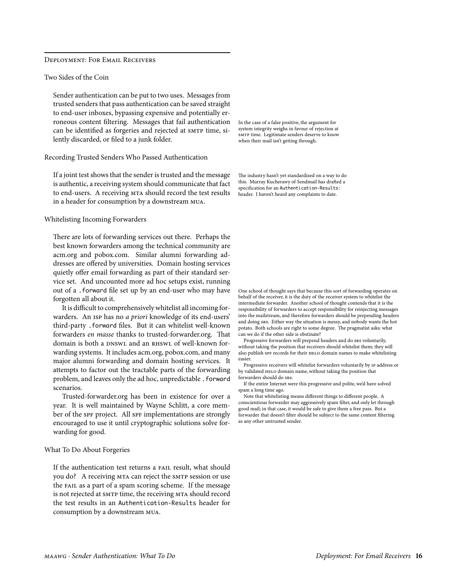## <span id="page-15-0"></span>Deployment: For Email Receivers

Two Sides of the Coin

Sender authentication can be put to two uses. Messages from trusted senders that pass authentication can be saved straight to end-user inboxes, bypassing expensive and potentially erroneous content filtering. Messages that fail authentication can be identified as forgeries and rejected at SMTP time, silently discarded, or filed to a junk folder.

Recording Trusted Senders Who Passed Authentication

If a joint test shows that the sender is trusted and the message is authentic, a receiving system should communicate that fact to end-users. A receiving MTA should record the test results in a header for consumption by a downstream mua.

#### Whitelisting Incoming Forwarders

There are lots of forwarding services out there. Perhaps the best known forwarders among the technical community are acm.org and pobox.com. Similar alumni forwarding addresses are offered by universities. Domain hosting services quietly offer email forwarding as part of their standard service set. And uncounted more ad hoc setups exist, running out of a .forward file set up by an end-user who may have forgotten all about it.

It is difficult to comprehensively whitelist all incoming forwarders. An isp has no *a priori* knowledge of its end-users' third-party .forward files. But it can whitelist well-known forwarders *en masse* thanks to trusted-forwarder.org. That domain is both a DNSWL and an RHSWL of well-known forwarding systems. It includes acm.org, pobox.com, and many major alumni forwarding and domain hosting services. It attempts to factor out the tractable parts of the forwarding problem, and leaves only the ad hoc, unpredictable . forward scenarios.

Trusted-forwarder.org has been in existence for over a year. It is well maintained by Wayne Schlitt, a core member of the spF project. All spF implementations are strongly encouraged to use it until cryptographic solutions solve forwarding for good.

#### What To Do About Forgeries

If the authentication test returns a FAIL result, what should you do? A receiving MTA can reject the SMTP session or use the fail as a part of a spam scoring scheme. If the message is not rejected at sm<sub>TP</sub> time, the receiving m<sub>TA</sub> should record the test results in an [Authentication-Results](http://www.ietf.org/internet-drafts/draft-kucherawy-sender-auth-header-00.txt) header for consumption by a downstream mua.

In the case of a false positive, the argument for system integrity weighs in favour of rejection at SMTP time. Legitimate senders deserve to know when their mail isn't getting through.

The industry hasn't yet standardized on a way to do this. [Murray Kucherawy of Sendmail has drafted a](http://www.ietf.org/internet-drafts/draft-kucherawy-sender-auth-header-00.txt)  specification for an [Authentication-Results:](http://www.ietf.org/internet-drafts/draft-kucherawy-sender-auth-header-00.txt) [header.](http://www.ietf.org/internet-drafts/draft-kucherawy-sender-auth-header-00.txt) I haven't heard any complaints to date.

One school of thought says that because this sort of forwarding operates on behalf of the receiver, it is the duty of the receiver system to whitelist the intermediate forwarder. Another school of thought contends that it is the responsibility of forwarders to accept responsibility for reinjecting messages into the mailstream, and therefore forwarders should be prepending headers and doing SRS. Either way the situation is messy, and nobody wants the hot potato. Both schools are right to some degree. The pragmatist asks: what can we do if the other side is obstinate?

 Progressive forwarders will prepend headers and do SRS voluntarily, without taking the position that receivers should whitelist them; they will also publish SPF records for their HELO domain names to make whitelisting easier.

 Progressive receivers will whitelist forwarders voluntarily by IP address or by validated HELO domain name, without taking the position that forwarders should do SRS.

 If the entire Internet were this progressive and polite, we'd have solved spam a long time ago.

 Note that whitelisting means different things to different people. A conscientious forwarder may aggressively spam filter, and only let through good mail; in that case, it would be safe to give them a free pass. But a forwarder that doesn't filter should be subject to the same content filtering as any other untrusted sender.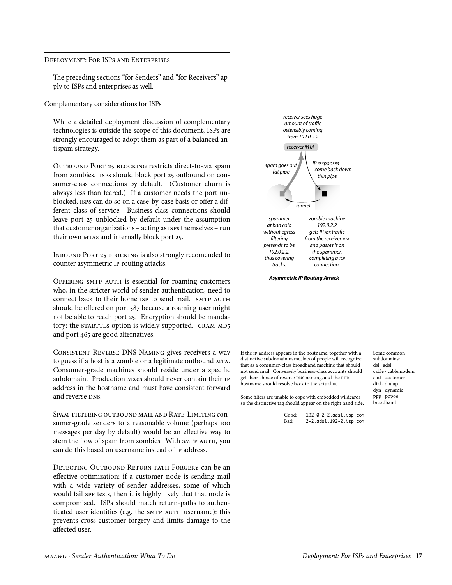<span id="page-16-0"></span>DEPLOYMENT: FOR ISPS AND ENTERPRISES

The preceding sections "for Senders" and "for Receivers" apply to ISPs and enterprises as well.

Complementary considerations for ISPs

While a detailed deployment discussion of complementary technologies is outside the scope of this document, ISPs are strongly encouraged to adopt them as part of a balanced antispam strategy.

OUTBOUND PORT 25 BLOCKING restricts direct-to-MX spam from zombies. ISPS should block port 25 outbound on consumer-class connections by default. (Customer churn is always less than feared.) If a customer needs the port unblocked, ISPS can do so on a case-by-case basis or offer a different class of service. Business-class connections should leave port 25 unblocked by default under the assumption that customer organizations - acting as ISPS themselves - run their own MTAs and internally block port 25.

INBOUND PORT 25 BLOCKING is also strongly recomended to counter asymmetric IP routing attacks.

OFFERING SMTP AUTH is essential for roaming customers who, in the stricter world of sender authentication, need to connect back to their home ISP to send mail. SMTP AUTH should be offered on port 587 because a roaming user might not be able to reach port 25. Encryption should be mandatory: the STARTTLS option is widely supported. CRAM-MD5 and port 465 are good alternatives.

CONSISTENT REVERSE DNS NAMING gives receivers a way to guess if a host is a zombie or a legitimate outbound MTA. Consumer-grade machines should reside under a specific subdomain. Production MXes should never contain their IP address in the hostname and must have consistent forward and reverse DNS.

SPAM-FILTERING OUTBOUND MAIL AND RATE-LIMITING CONsumer-grade senders to a reasonable volume (perhaps 100 messages per day by default) would be an effective way to stem the flow of spam from zombies. With SMTP AUTH, you can do this based on username instead of IP address.

DETECTING OUTBOUND RETURN-PATH FORGERY can be an effective optimization: if a customer node is sending mail with a wide variety of sender addresses, some of which would fail SPF tests, then it is highly likely that that node is compromised. ISPs should match return-paths to authenticated user identities (e.g. the SMTP AUTH username): this prevents cross-customer forgery and limits damage to the affected user.



**Asymmetric IP Routing Attack** 

If the IP address appears in the hostname, together with a distinctive subdomain name, lots of people will recognize that as a consumer-class broadband machine that should not send mail. Conversely business-class accounts should get their choice of reverse DNS naming, and the PTR hostname should resolve back to the actual IP.

Some common subdomains:  $dsl \cdot adsl$ cable · cablemodem cust · customer dial · dialup dyn · dynamic  $ppp \cdot pppoe$ broadband

Some filters are unable to cope with embedded wildcards so the distinctive tag should appear on the right hand side.

| Good: | 192-0-2-2.adsl.isp.com |
|-------|------------------------|
| Bad:  | 2-2.adsl.192-0.isp.com |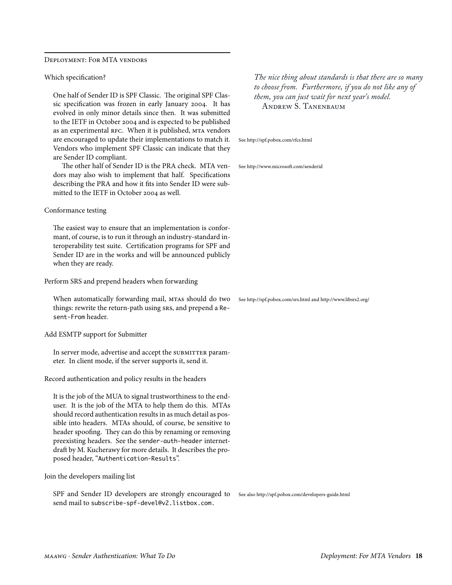<span id="page-17-0"></span>Deployment: For MTA vendors

Which specification?

One half of Sender ID is SPF Classic. The original SPF Classic specification was frozen in early January 2004. It has evolved in only minor details since then. It was submitted to the IETF in October 2004 and is expected to be published as an experimental RFC. When it is published, MTA vendors are encouraged to update their implementations to match it. Vendors who implement SPF Classic can indicate that they are Sender ID compliant.

The other half of Sender ID is the PRA check. MTA vendors may also wish to implement that half. Specifications describing the PRA and how it fits into Sender ID were submitted to the IETF in October 2004 as well.

#### Conformance testing

The easiest way to ensure that an implementation is conformant, of course, is to run it through an industry-standard interoperability test suite. Certification programs for SPF and Sender ID are in the works and will be announced publicly when they are ready.

Perform SRS and prepend headers when forwarding

When automatically forwarding mail, MTAS should do two things: rewrite the return-path using srs, and prepend a Resent-From header.

Add ESMTP support for Submitter

In server mode, advertise and accept the SUBMITTER parameter. In client mode, if the server supports it, send it.

Record authentication and policy results in the headers

It is the job of the MUA to signal trustworthiness to the enduser. It is the job of the MTA to help them do this. MTAs should record authentication results in as much detail as possible into headers. MTAs should, of course, be sensitive to header spoofing. They can do this by renaming or removing preexisting headers. See the [sender-auth-header](http://www.ietf.org/internet-drafts/draft-kucherawy-sender-auth-header-00.txt) internet[draft by M. Kucherawy for more details. It describes the pro](http://www.ietf.org/internet-drafts/draft-kucherawy-sender-auth-header-00.txt)posed header, "[Authentication-Results](http://www.ietf.org/internet-drafts/draft-kucherawy-sender-auth-header-00.txt)".

Join the developers mailing list

SPF and Sender ID developers are strongly encouraged to See also <http://spf.pobox.com/developers-guide.html> send mail to subscribe-spf-devel@v2.listbox.com.

*The nice thing about standards is that there are so many to choose from. Furthermore, if you do not like any of them, you can just wait for next year's model.* ANDREW S. TANENBAUM

[See http://spf.pobox.com/rfcs.html](http://spf.pobox.com/rfcs.html)

[See http://www.microsoft.com/senderid](http://www.microsoft.com/senderid)

See <http://spf.pobox.com/srs.html> and<http://www.libsrs2.org/>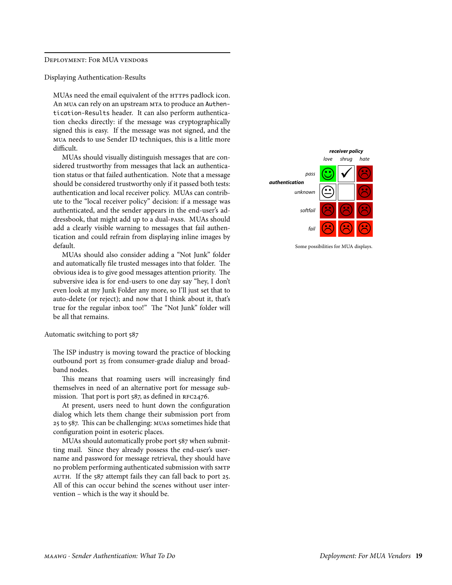#### <span id="page-18-0"></span>Deployment: For MUA vendors

Displaying [Authentication-Results](http://www.ietf.org/internet-drafts/draft-kucherawy-sender-auth-header-00.txt)

MUAs need the email equivalent of the HTTPS padlock icon. An MUA can rely on an upstream MTA to produce an [Authen](http://www.ietf.org/internet-drafts/draft-kucherawy-sender-auth-header-00.txt)[tication-Results](http://www.ietf.org/internet-drafts/draft-kucherawy-sender-auth-header-00.txt) header. It can also perform authentication checks directly: if the message was cryptographically signed this is easy. If the message was not signed, and the mua needs to use Sender ID techniques, this is a little more difficult.

MUAs should visually distinguish messages that are considered trustworthy from messages that lack an authentication status or that failed authentication. Note that a message should be considered trustworthy only if it passed both tests: authentication and local receiver policy. MUAs can contribute to the "local receiver policy" decision: if a message was authenticated, and the sender appears in the end-user's addressbook, that might add up to a dual-pass. MUAs should add a clearly visible warning to messages that fail authentication and could refrain from displaying inline images by default.

MUAs should also consider adding a "Not Junk" folder and automatically file trusted messages into that folder. The obvious idea is to give good messages attention priority. The subversive idea is for end-users to one day say "hey, I don't even look at my Junk Folder any more, so I'll just set that to auto-delete (or reject); and now that I think about it, that's true for the regular inbox too!" The "Not Junk" folder will be all that remains.

Automatic switching to port 587

The ISP industry is moving toward the practice of blocking outbound port 25 from consumer-grade dialup and broadband nodes.

This means that roaming users will increasingly find themselves in need of an alternative port for message submission. That port is port 587, as defined in RFC2476.

At present, users need to hunt down the configuration dialog which lets them change their submission port from 25 to 587. This can be challenging: muas sometimes hide that configuration point in esoteric places.

MUAs should automatically probe port 587 when submitting mail. Since they already possess the end-user's username and password for message retrieval, they should have no problem performing authenticated submission with SMTP AUTH. If the 587 attempt fails they can fall back to port 25. All of this can occur behind the scenes without user intervention – which is the way it should be.



Some possibilities for MUA displays.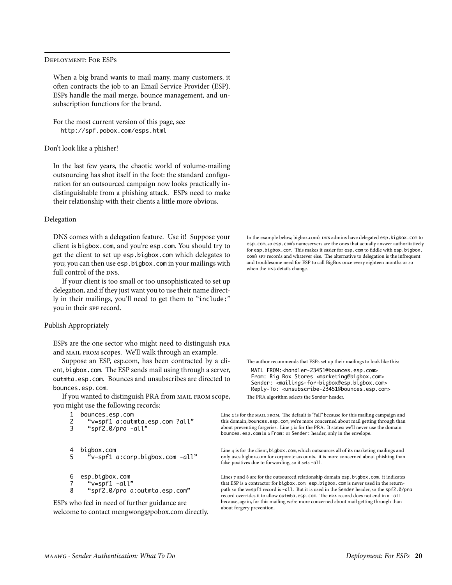#### <span id="page-19-0"></span>Deployment: For ESPs

When a big brand wants to mail many, many customers, it often contracts the job to an Email Service Provider (ESP). ESPs handle the mail merge, bounce management, and unsubscription functions for the brand.

For the most current version of this page, see <http://spf.pobox.com/esps.html>

#### Don't look like a phisher!

In the last few years, the chaotic world of volume-mailing outsourcing has shot itself in the foot: the standard configuration for an outsourced campaign now looks practically indistinguishable from a phishing attack. ESPs need to make their relationship with their clients a little more obvious.

#### Delegation

DNS comes with a delegation feature. Use it! Suppose your client is bigbox.com, and you're esp.com. You should try to get the client to set up esp.bigbox.com which delegates to you; you can then use esp.bigbox.com in your mailings with full control of the DNS.

If your client is too small or too unsophisticated to set up delegation, and if they just want you to use their name directly in their mailings, you'll need to get them to "include:" you in their spF record.

### Publish Appropriately

ESPs are the one sector who might need to distinguish pra and MAIL FROM scopes. We'll walk through an example.

Suppose an ESP, esp.com, has been contracted by a client, bigbox.com. The ESP sends mail using through a server, outmta.esp.com. Bounces and unsubscribes are directed to bounces.esp.com.

If you wanted to distinguish PRA from MAIL FROM scope, you might use the following records:

```
1 bounces.esp.com<br>2 v = \text{snf1} q \cdot \text{snf1}
```

```
 2 "v=spf1 a:outmta.esp.com ?all"
 3 "spf2.0/pra -all"
```

```
4 bigbox.com<br>5 \frac{4}{5} \frac{6}{5} 5 "v=spf1 a:corp.bigbox.com -all"
```

```
 6 esp.bigbox.com
```

```
v=spf1 -all"
```
8 "spf2.0/pra a:outmta.esp.com"

ESPs who feel in need of further guidance are welcome to contact mengwong@pobox.com directly. In the example below, bigbox.com's DNS admins have delegated esp.bigbox.com to esp.com, so esp.com's nameservers are the ones that actually answer authoritatively for esp.bigbox.com. This makes it easier for esp.com to fiddle with esp.bigbox. com's SPF records and whatever else. The alternative to delegation is the infrequent and troublesome need for ESP to call BigBox once every eighteen months or so when the DNS details change.

The author recommends that ESPs set up their mailings to look like this:

MAIL FROM:<handler-23451@bounces.esp.com> From: Big Box Stores <marketing@bigbox.com> Sender: <mailings-for-bigbox@esp.bigbox.com> Reply-To: <unsubscribe-23451@bounces.esp.com> The PRA algorithm selects the Sender header.

Line 2 is for the MAIL FROM. The default is "?all" because for this mailing campaign and this domain, bounces.esp.com, we're more concerned about mail getting through than about preventing forgeries. Line 3 is for the PRA. It states: we'll never use the domain bounces.esp.com in a From: or Sender: header, only in the envelope.

Line 4 is for the client, bigbox.com, which outsources all of its marketing mailings and only uses bigbox.com for corporate accounts. it is more concerned about phishing than false positives due to forwarding, so it sets -all.

Lines 7 and 8 are for the outsourced relationship domain esp.bigbox.com. it indicates that ESP is a contractor for bigbox.com. esp.bigbox.com is never used in the returnpath so the v=spf1 record is -all. But it is used in the Sender header, so the spf2.0/pra record overrides it to allow outmta.esp.com. The PRA record does not end in a -all because, again, for this mailing we're more concerned about mail getting through than about forgery prevention.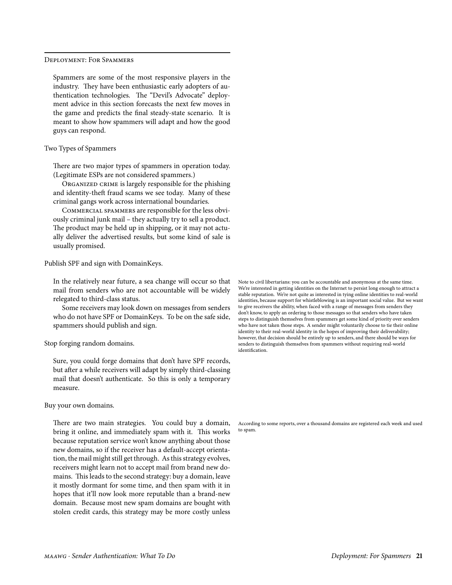#### <span id="page-20-0"></span>Deployment: For Spammers

Spammers are some of the most responsive players in the industry. They have been enthusiastic early adopters of authentication technologies. The "Devil's Advocate" deployment advice in this section forecasts the next few moves in the game and predicts the final steady-state scenario. It is meant to show how spammers will adapt and how the good guys can respond.

# Two Types of Spammers

There are two major types of spammers in operation today. (Legitimate ESPs are not considered spammers.)

ORGANIZED CRIME is largely responsible for the phishing and identity-theft fraud scams we see today. Many of these criminal gangs work across international boundaries.

Commercial spammers are responsible for the less obviously criminal junk mail – they actually try to sell a product. The product may be held up in shipping, or it may not actually deliver the advertised results, but some kind of sale is usually promised.

Publish SPF and sign with DomainKeys.

In the relatively near future, a sea change will occur so that mail from senders who are not accountable will be widely relegated to third-class status.

Some receivers may look down on messages from senders who do not have SPF or DomainKeys. To be on the safe side, spammers should publish and sign.

#### Stop forging random domains.

Sure, you could forge domains that don't have SPF records, but after a while receivers will adapt by simply third-classing mail that doesn't authenticate. So this is only a temporary measure.

Buy your own domains.

There are two main strategies. You could buy a domain, bring it online, and immediately spam with it. This works because reputation service won't know anything about those new domains, so if the receiver has a default-accept orientation, the mail might still get through. As this strategy evolves, receivers might learn not to accept mail from brand new domains. This leads to the second strategy: buy a domain, leave it mostly dormant for some time, and then spam with it in hopes that it'll now look more reputable than a brand-new domain. Because most new spam domains are bought with stolen credit cards, this strategy may be more costly unless

Note to civil libertarians: you can be accountable and anonymous at the same time. We're interested in getting identities on the Internet to persist long enough to attract a stable reputation. We're not quite as interested in tying online identities to real-world identities, because support for whistleblowing is an important social value. But we want to give receivers the ability, when faced with a range of messages from senders they don't know, to apply an ordering to those messages so that senders who have taken steps to distinguish themselves from spammers get some kind of priority over senders who have not taken those steps. A sender might voluntarily choose to tie their online identity to their real-world identity in the hopes of improving their deliverability; however, that decision should be entirely up to senders, and there should be ways for senders to distinguish themselves from spammers without requiring real-world identification.

According to some reports, over a thousand domains are registered each week and used to spam.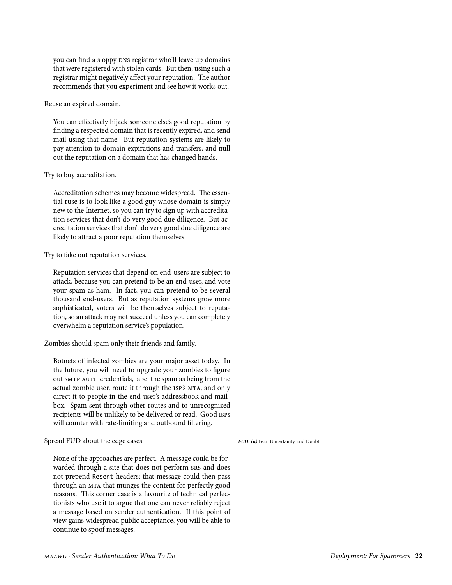<span id="page-21-0"></span>you can find a sloppy DNS registrar who'll leave up domains that were registered with stolen cards. But then, using such a registrar might negatively affect your reputation. The author recommends that you experiment and see how it works out.

Reuse an expired domain.

You can effectively hijack someone else's good reputation by finding a respected domain that is recently expired, and send mail using that name. But reputation systems are likely to pay attention to domain expirations and transfers, and null out the reputation on a domain that has changed hands.

Try to buy accreditation.

Accreditation schemes may become widespread. The essential ruse is to look like a good guy whose domain is simply new to the Internet, so you can try to sign up with accreditation services that don't do very good due diligence. But accreditation services that don't do very good due diligence are likely to attract a poor reputation themselves.

# Try to fake out reputation services.

Reputation services that depend on end-users are subject to attack, because you can pretend to be an end-user, and vote your spam as ham. In fact, you can pretend to be several thousand end-users. But as reputation systems grow more sophisticated, voters will be themselves subject to reputation, so an attack may not succeed unless you can completely overwhelm a reputation service's population.

Zombies should spam only their friends and family.

Botnets of infected zombies are your major asset today. In the future, you will need to upgrade your zombies to figure out SMTP AUTH credentials, label the spam as being from the actual zombie user, route it through the isp's mta, and only direct it to people in the end-user's addressbook and mailbox. Spam sent through other routes and to unrecognized recipients will be unlikely to be delivered or read. Good isps will counter with rate-limiting and outbound filtering.

Spread FUD about the edge cases.

*FUD: (n)* Fear, Uncertainty, and Doubt.

None of the approaches are perfect. A message could be forwarded through a site that does not perform srs and does not prepend Resent headers; that message could then pass through an mta that munges the content for perfectly good reasons. This corner case is a favourite of technical perfectionists who use it to argue that one can never reliably reject a message based on sender authentication. If this point of view gains widespread public acceptance, you will be able to continue to spoof messages.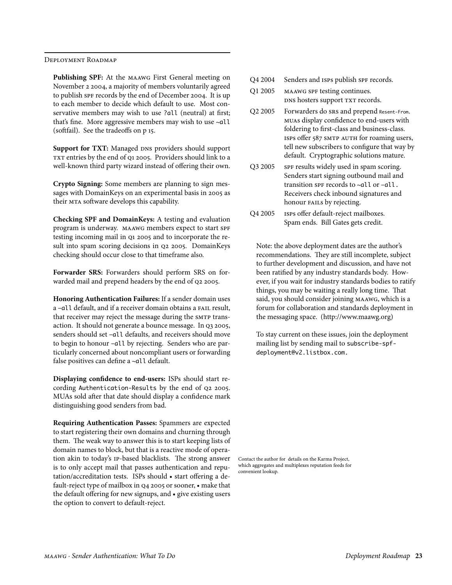<span id="page-22-0"></span>Deployment Roadmap

**Publishing SPF:** At the maawg First General meeting on November 2 2004, a majority of members voluntarily agreed to publish spf records by the end of December 2004. It is up to each member to decide which default to use. Most conservative members may wish to use ?all (neutral) at first; that's fine. More aggressive members may wish to use ~all (softfail). See the tradeoffs on p 15.

**Support for TXT:** Managed DNS providers should support TXT entries by the end of Q1 2005. Providers should link to a well-known third party wizard instead of offering their own.

**Crypto Signing:** Some members are planning to sign messages with DomainKeys on an experimental basis in 2005 as their mta software develops this capability.

**Checking SPF and DomainKeys:** A testing and evaluation program is underway. MAAWG members expect to start SPF testing incoming mail in Q1 2005 and to incorporate the result into spam scoring decisions in q2 2005. DomainKeys checking should occur close to that timeframe also.

**Forwarder SRS:** Forwarders should perform SRS on forwarded mail and prepend headers by the end of q2 2005.

**Honoring Authentication Failures:** If a sender domain uses a –all default, and if a receiver domain obtains a fail result, that receiver may reject the message during the SMTP transaction. It should not generate a bounce message. In q3 2005, senders should set –all defaults, and receivers should move to begin to honour –all by rejecting. Senders who are particularly concerned about noncompliant users or forwarding false positives can define a ~all default.

**Displaying confidence to end-users:** ISPs should start recording Authentication-Results by the end of q2 2005. MUAs sold after that date should display a confidence mark distinguishing good senders from bad.

**Requiring Authentication Passes:** Spammers are expected to start registering their own domains and churning through them. The weak way to answer this is to start keeping lists of domain names to block, but that is a reactive mode of operation akin to today's ip-based blacklists. The strong answer is to only accept mail that passes authentication and reputation/accreditation tests. ISPs should • start offering a default-reject type of mailbox in q4 2005 or sooner, • make that the default offering for new signups, and • give existing users the option to convert to default-reject.

- Q4 2004 Senders and ISPS publish SPF records.
- Q1 2005 MAAWG SPF testing continues. DNS hosters support TXT records.
- Q2 2005 Forwarders do srs and prepend Resent-From. muas display confidence to end-users with foldering to first-class and business-class. ISPS offer 587 SMTP AUTH for roaming users, tell new subscribers to configure that way by default. Cryptographic solutions mature.
- Q3 2005 spF results widely used in spam scoring. Senders start signing outbound mail and transition spf records to  $\sim$ all or  $-\alpha$ ll. Receivers check inbound signatures and honour FAILs by rejecting.
- Q4 2005 isps offer default-reject mailboxes. Spam ends. Bill Gates gets credit.

Note: the above deployment dates are the author's recommendations. They are still incomplete, subject to further development and discussion, and have not been ratified by any industry standards body. However, if you wait for industry standards bodies to ratify things, you may be waiting a really long time. That said, you should consider joining maawg, which is a forum for collaboration and standards deployment in the messaging space. ([http://www.maawg.org](http://www.maawg.org/))

To stay current on these issues, join the deployment mailing list by sending mail to subscribe-spfdeployment@v2.listbox.com.

Contact the author for details on the Karma Project, which aggregates and multiplexes reputation feeds for convenient lookup.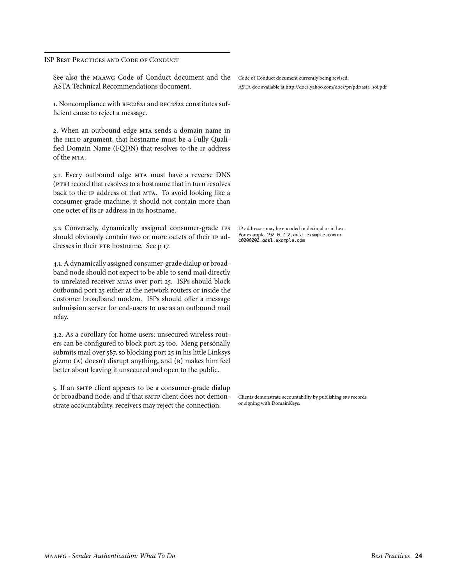<span id="page-23-0"></span>ISP Best Practices and Code of Conduct

See also the maawg Code of Conduct document and the ASTA Technical Recommendations document.

1. Noncompliance with RFC2821 and RFC2822 constitutes sufficient cause to reject a message.

2. When an outbound edge MTA sends a domain name in the HELO argument, that hostname must be a Fully Qualified Domain Name (FQDN) that resolves to the ip address of the MTA.

3.. Every outbound edge mta must have a reverse DNS (PTR) record that resolves to a hostname that in turn resolves back to the IP address of that MTA. To avoid looking like a consumer-grade machine, it should not contain more than one octet of its ip address in its hostname.

3.2 Conversely, dynamically assigned consumer-grade ips should obviously contain two or more octets of their ip addresses in their PTR hostname. See p 17.

4.. A dynamically assigned consumer-grade dialup or broadband node should not expect to be able to send mail directly to unrelated receiver mtas over port 25. ISPs should block outbound port 25 either at the network routers or inside the customer broadband modem. ISPs should offer a message submission server for end-users to use as an outbound mail relay.

4.2. As a corollary for home users: unsecured wireless routers can be configured to block port 25 too. Meng personally submits mail over 587, so blocking port 25 in his little Linksys gizmo (a) doesn't disrupt anything, and (b) makes him feel better about leaving it unsecured and open to the public.

5. If an smtp client appears to be a consumer-grade dialup or broadband node, and if that SMTP client does not demonstrate accountability, receivers may reject the connection.

Code of Conduct document currently being revised. [ASTA doc available at http://docs.yahoo.com/docs/pr/pdf/asta\\_soi.pdf](http://docs.yahoo.com/docs/pr/pdf/asta_soi.pdf)

IP addresses may be encoded in decimal or in hex. For example, 192-0-2-2.adsl.example.com or c0000202.adsl.example.com

Clients demonstrate accountability by publishing SPF records or signing with DomainKeys.